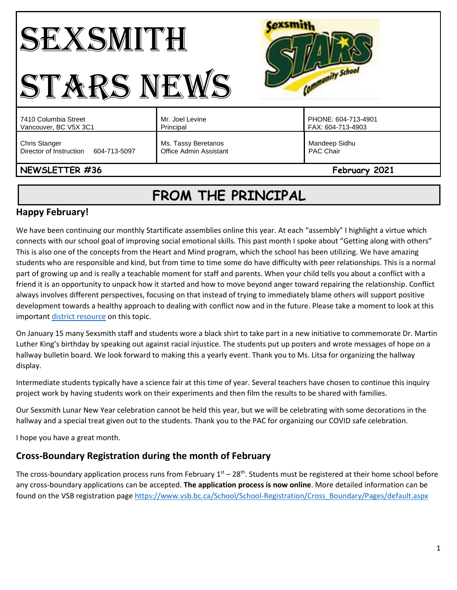### **Cexsmith** SEXSMITH Community School STARS NEWS Mr. Joel Levine PHONE: 604-713-4901 7410 Columbia Street Vancouver, BC V5X 3C1 Principal FAX: 604-713-4903 Chris Stanger Ms. Tassy Beretanos Mandeep Sidhu Director of Instruction 604-713-5097 Office Admin Assistant PAC Chair **NEWSLETTER #36** February **2021**

# **FROM THE PRINCIPAL**

# **Happy February!**

We have been continuing our monthly Startificate assemblies online this year. At each "assembly" I highlight a virtue which connects with our school goal of improving social emotional skills. This past month I spoke about "Getting along with others" This is also one of the concepts from the Heart and Mind program, which the school has been utilizing. We have amazing students who are responsible and kind, but from time to time some do have difficulty with peer relationships. This is a normal part of growing up and is really a teachable moment for staff and parents. When your child tells you about a conflict with a friend it is an opportunity to unpack how it started and how to move beyond anger toward repairing the relationship. Conflict always involves different perspectives, focusing on that instead of trying to immediately blame others will support positive development towards a healthy approach to dealing with conflict now and in the future. Please take a moment to look at this important [district resource](https://www.vsb.bc.ca/schools/jw-sexsmith/About-Us/Publications/Documents/Peer%20conflict%20vs%20Bullying%20Final.pdf) on this topic.

On January 15 many Sexsmith staff and students wore a black shirt to take part in a new initiative to commemorate Dr. Martin Luther King's birthday by speaking out against racial injustice. The students put up posters and wrote messages of hope on a hallway bulletin board. We look forward to making this a yearly event. Thank you to Ms. Litsa for organizing the hallway display.

Intermediate students typically have a science fair at this time of year. Several teachers have chosen to continue this inquiry project work by having students work on their experiments and then film the results to be shared with families.

Our Sexsmith Lunar New Year celebration cannot be held this year, but we will be celebrating with some decorations in the hallway and a special treat given out to the students. Thank you to the PAC for organizing our COVID safe celebration.

I hope you have a great month.

# **Cross-Boundary Registration during the month of February**

The cross-boundary application process runs from February  $1<sup>st</sup> - 28<sup>th</sup>$ . Students must be registered at their home school before any cross-boundary applications can be accepted. **The application process is now online**. More detailed information can be found on the VSB registration pag[e https://www.vsb.bc.ca/School/School-Registration/Cross\\_Boundary/Pages/default.aspx](https://www.vsb.bc.ca/School/School-Registration/Cross_Boundary/Pages/default.aspx)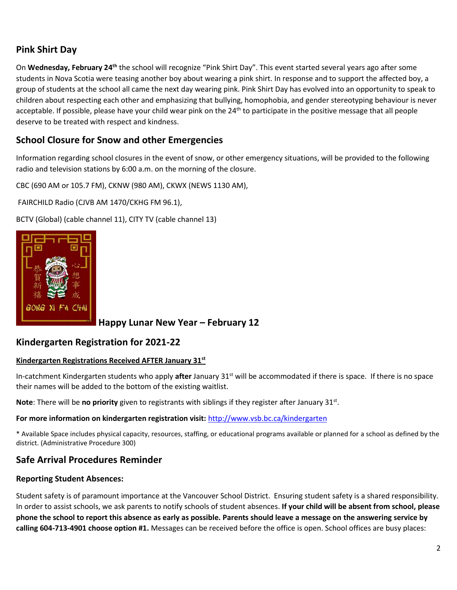# **Pink Shirt Day**

On Wednesday, February 24<sup>th</sup> the school will recognize "Pink Shirt Day". This event started several years ago after some students in Nova Scotia were teasing another boy about wearing a pink shirt. In response and to support the affected boy, a group of students at the school all came the next day wearing pink. Pink Shirt Day has evolved into an opportunity to speak to children about respecting each other and emphasizing that bullying, homophobia, and gender stereotyping behaviour is never acceptable. If possible, please have your child wear pink on the 24<sup>th</sup> to participate in the positive message that all people deserve to be treated with respect and kindness.

# **School Closure for Snow and other Emergencies**

Information regarding school closures in the event of snow, or other emergency situations, will be provided to the following radio and television stations by 6:00 a.m. on the morning of the closure.

CBC (690 AM or 105.7 FM), CKNW (980 AM), CKWX (NEWS 1130 AM),

FAIRCHILD Radio (CJVB AM 1470/CKHG FM 96.1),

BCTV (Global) (cable channel 11), CITY TV (cable channel 13)



**Happy Lunar New Year – February 12**

### **Kindergarten Registration for 2021-22**

#### **Kindergarten Registrations Received AFTER January 31st**

In-catchment Kindergarten students who apply **after** January 31st will be accommodated if there is space. If there is no space their names will be added to the bottom of the existing waitlist.

Note: There will be no priority given to registrants with siblings if they register after January 31st.

#### **For more information on kindergarten registration visit:** <http://www.vsb.bc.ca/kindergarten>

\* Available Space includes physical capacity, resources, staffing, or educational programs available or planned for a school as defined by the district. (Administrative Procedure 300)

### **Safe Arrival Procedures Reminder**

#### **Reporting Student Absences:**

Student safety is of paramount importance at the Vancouver School District. Ensuring student safety is a shared responsibility. In order to assist schools, we ask parents to notify schools of student absences. **If your child will be absent from school, please phone the school to report this absence as early as possible. Parents should leave a message on the answering service by calling 604-713-4901 choose option #1.** Messages can be received before the office is open. School offices are busy places: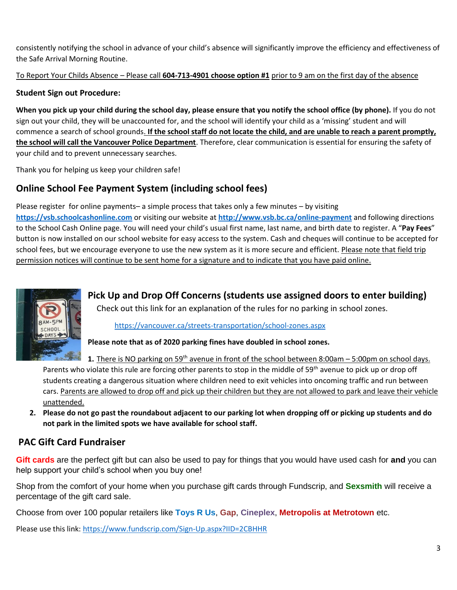consistently notifying the school in advance of your child's absence will significantly improve the efficiency and effectiveness of the Safe Arrival Morning Routine.

To Report Your Childs Absence – Please call **604-713-4901 choose option #1** prior to 9 am on the first day of the absence

### **Student Sign out Procedure:**

**When you pick up your child during the school day, please ensure that you notify the school office (by phone).** If you do not sign out your child, they will be unaccounted for, and the school will identify your child as a 'missing' student and will commence a search of school grounds. **If the school staff do not locate the child, and are unable to reach a parent promptly, the school will call the Vancouver Police Department**. Therefore, clear communication is essential for ensuring the safety of your child and to prevent unnecessary searches.

Thank you for helping us keep your children safe!

# **Online School Fee Payment System (including school fees)**

Please register for online payments– a simple process that takes only a few minutes – by visiting **[https://vsb.schoolcashonline.com](https://vsb.schoolcashonline.com/)** or visiting our website at **<http://www.vsb.bc.ca/online-payment>** and following directions to the School Cash Online page. You will need your child's usual first name, last name, and birth date to register. A "**Pay Fees**" button is now installed on our school website for easy access to the system. Cash and cheques will continue to be accepted for school fees, but we encourage everyone to use the new system as it is more secure and efficient. Please note that field trip permission notices will continue to be sent home for a signature and to indicate that you have paid online.



**Pick Up and Drop Off Concerns (students use assigned doors to enter building)** Check out this link for an explanation of the rules for no parking in school zones.

### <https://vancouver.ca/streets-transportation/school-zones.aspx>

**Please note that as of 2020 parking fines have doubled in school zones.** 

**1.** There is NO parking on 59<sup>th</sup> avenue in front of the school between 8:00am – 5:00pm on school days. Parents who violate this rule are forcing other parents to stop in the middle of 59<sup>th</sup> avenue to pick up or drop off students creating a dangerous situation where children need to exit vehicles into oncoming traffic and run between cars. Parents are allowed to drop off and pick up their children but they are not allowed to park and leave their vehicle unattended.

**2. Please do not go past the roundabout adjacent to our parking lot when dropping off or picking up students and do not park in the limited spots we have available for school staff.** 

# **PAC Gift Card Fundraiser**

**Gift cards** are the perfect gift but can also be used to pay for things that you would have used cash for **and** you can help support your child's school when you buy one!

Shop from the comfort of your home when you purchase gift cards through Fundscrip, and **Sexsmith** will receive a percentage of the gift card sale.

Choose from over 100 popular retailers like **Toys R Us**, **Gap**, **Cineplex**, **Metropolis at Metrotown** etc.

Please use this link:<https://www.fundscrip.com/Sign-Up.aspx?IID=2CBHHR>